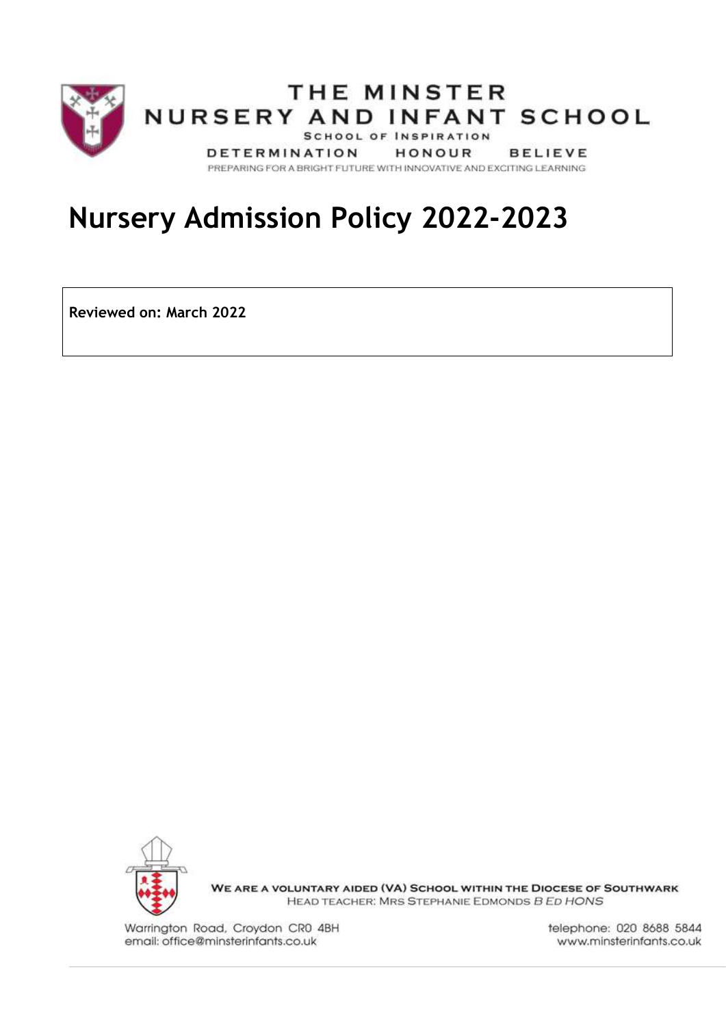

# **Nursery Admission Policy 2022-2023**

**Reviewed on: March 2022**



WE ARE A VOLUNTARY AIDED (VA) SCHOOL WITHIN THE DIOCESE OF SOUTHWARK HEAD TEACHER: MRS STEPHANIE EDMONDS B ED HONS

Warrington Road, Croydon CR0 4BH email: office@minsterinfants.co.uk

telephone: 020 8688 5844 www.minsterinfants.co.uk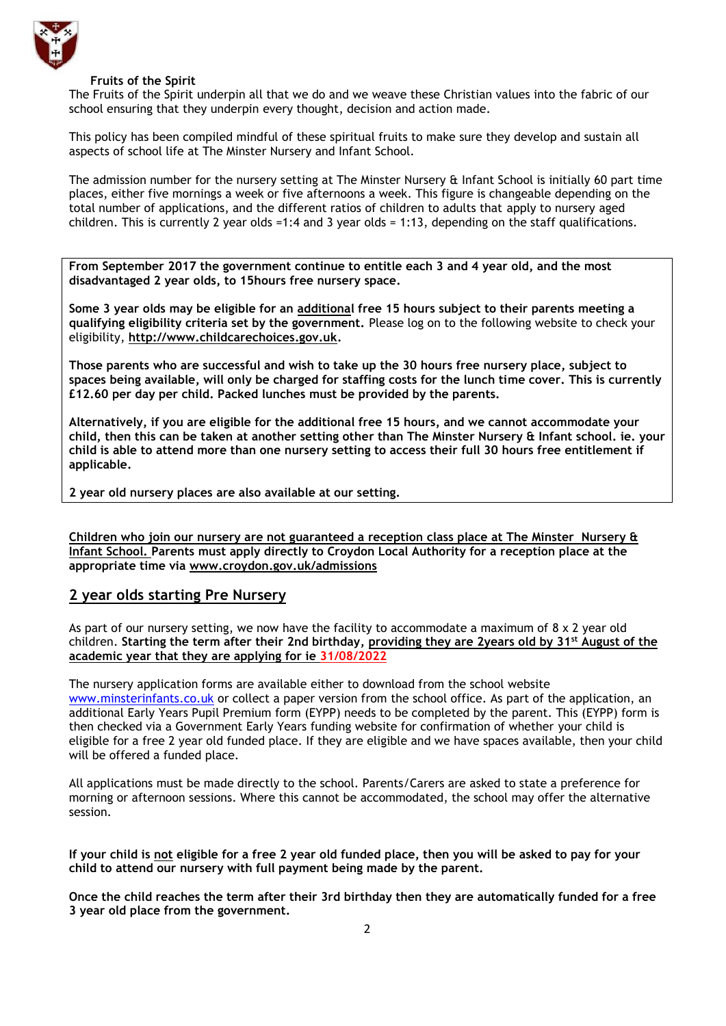

#### **Fruits of the Spirit**

The Fruits of the Spirit underpin all that we do and we weave these Christian values into the fabric of our school ensuring that they underpin every thought, decision and action made.

This policy has been compiled mindful of these spiritual fruits to make sure they develop and sustain all aspects of school life at The Minster Nursery and Infant School.

The admission number for the nursery setting at The Minster Nursery & Infant School is initially 60 part time places, either five mornings a week or five afternoons a week. This figure is changeable depending on the total number of applications, and the different ratios of children to adults that apply to nursery aged children. This is currently 2 year olds =1:4 and 3 year olds = 1:13, depending on the staff qualifications.

**From September 2017 the government continue to entitle each 3 and 4 year old, and the most disadvantaged 2 year olds, to 15hours free nursery space.**

**Some 3 year olds may be eligible for an additional free 15 hours subject to their parents meeting a qualifying eligibility criteria set by the government.** Please log on to the following website to check your eligibility, **[http://www.childcarechoices.gov.uk.](http://www.childcarechoices.gov.uk/)**

**Those parents who are successful and wish to take up the 30 hours free nursery place, subject to spaces being available, will only be charged for staffing costs for the lunch time cover. This is currently £12.60 per day per child. Packed lunches must be provided by the parents.**

**Alternatively, if you are eligible for the additional free 15 hours, and we cannot accommodate your child, then this can be taken at another setting other than The Minster Nursery & Infant school. ie. your child is able to attend more than one nursery setting to access their full 30 hours free entitlement if applicable.**

**2 year old nursery places are also available at our setting.**

**Children who join our nursery are not guaranteed a reception class place at The Minster Nursery & Infant School. Parents must apply directly to Croydon Local Authority for a reception place at the appropriate time via [www.croydon.gov.uk/admissions](http://www.croydon.gov.uk/admissions)**

**2 year olds starting Pre Nursery**

As part of our nursery setting, we now have the facility to accommodate a maximum of  $8 \times 2$  year old children. **Starting the term after their 2nd birthday, providing they are 2years old by 31st August of the academic year that they are applying for ie 31/08/2022**

The nursery application forms are available either to download from the school website [www.minsterinfants.co.uk](http://www.minsterinfants.co.uk/) or collect a paper version from the school office. As part of the application, an additional Early Years Pupil Premium form (EYPP) needs to be completed by the parent. This (EYPP) form is then checked via a Government Early Years funding website for confirmation of whether your child is eligible for a free 2 year old funded place. If they are eligible and we have spaces available, then your child will be offered a funded place.

All applications must be made directly to the school. Parents/Carers are asked to state a preference for morning or afternoon sessions. Where this cannot be accommodated, the school may offer the alternative session.

**If your child is not eligible for a free 2 year old funded place, then you will be asked to pay for your child to attend our nursery with full payment being made by the parent.**

**Once the child reaches the term after their 3rd birthday then they are automatically funded for a free 3 year old place from the government.**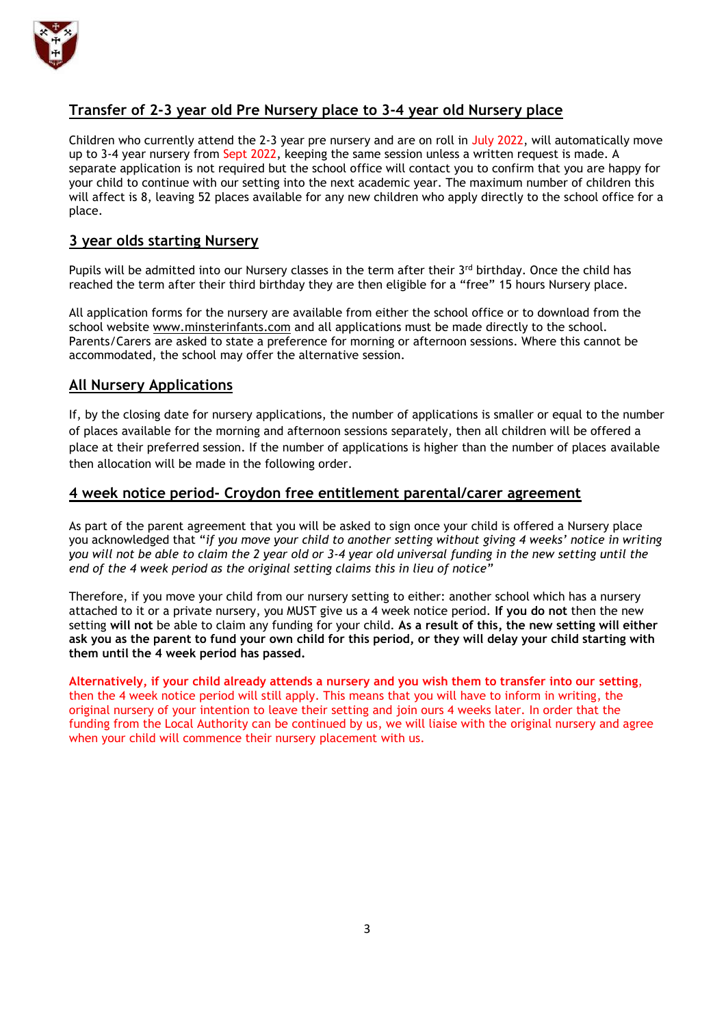

# **Transfer of 2-3 year old Pre Nursery place to 3-4 year old Nursery place**

Children who currently attend the 2-3 year pre nursery and are on roll in July 2022, will automatically move up to 3-4 year nursery from Sept 2022, keeping the same session unless a written request is made. A separate application is not required but the school office will contact you to confirm that you are happy for your child to continue with our setting into the next academic year. The maximum number of children this will affect is 8, leaving 52 places available for any new children who apply directly to the school office for a place.

# **3 year olds starting Nursery**

Pupils will be admitted into our Nursery classes in the term after their  $3<sup>rd</sup>$  birthday. Once the child has reached the term after their third birthday they are then eligible for a "free" 15 hours Nursery place.

All application forms for the nursery are available from either the school office or to download from the school website [www.minsterinfants.com](http://www.minsterinfants.com/) and all applications must be made directly to the school. Parents/Carers are asked to state a preference for morning or afternoon sessions. Where this cannot be accommodated, the school may offer the alternative session.

# **All Nursery Applications**

If, by the closing date for nursery applications, the number of applications is smaller or equal to the number of places available for the morning and afternoon sessions separately, then all children will be offered a place at their preferred session. If the number of applications is higher than the number of places available then allocation will be made in the following order.

# **4 week notice period- Croydon free entitlement parental/carer agreement**

As part of the parent agreement that you will be asked to sign once your child is offered a Nursery place you acknowledged that "*if you move your child to another setting without giving 4 weeks' notice in writing you will not be able to claim the 2 year old or 3-4 year old universal funding in the new setting until the end of the 4 week period as the original setting claims this in lieu of notice"*

Therefore, if you move your child from our nursery setting to either: another school which has a nursery attached to it or a private nursery, you MUST give us a 4 week notice period. **If you do not** then the new setting **will not** be able to claim any funding for your child. **As a result of this, the new setting will either ask you as the parent to fund your own child for this period, or they will delay your child starting with them until the 4 week period has passed.** 

**Alternatively, if your child already attends a nursery and you wish them to transfer into our setting**, then the 4 week notice period will still apply. This means that you will have to inform in writing, the original nursery of your intention to leave their setting and join ours 4 weeks later. In order that the funding from the Local Authority can be continued by us, we will liaise with the original nursery and agree when your child will commence their nursery placement with us.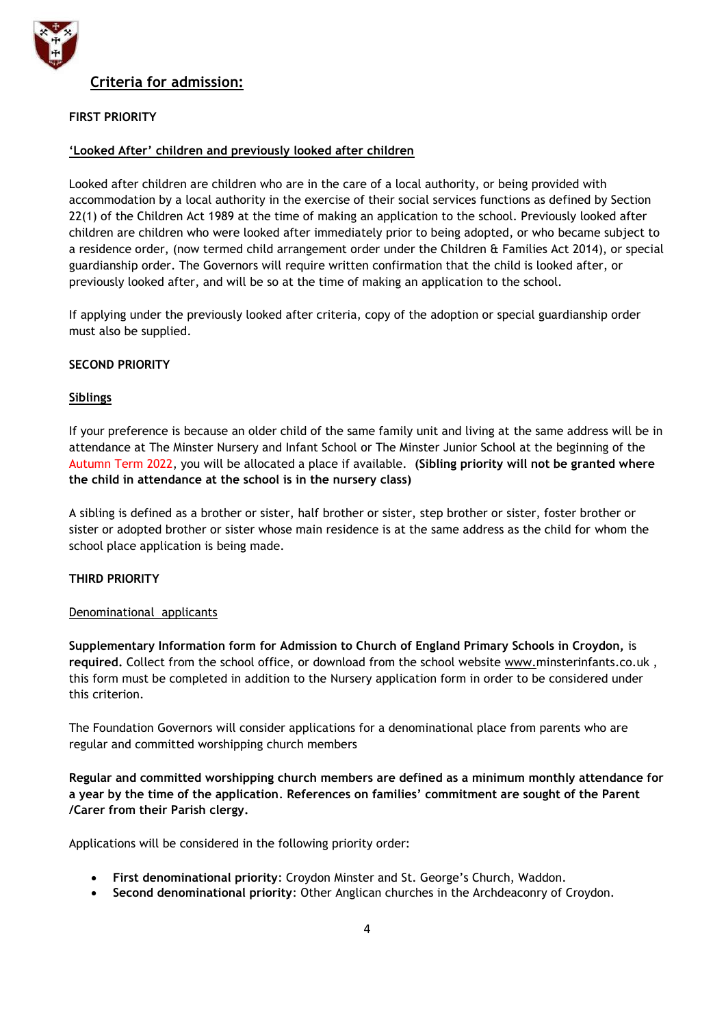

# **Criteria for admission:**

# **FIRST PRIORITY**

# **'Looked After' children and previously looked after children**

Looked after children are children who are in the care of a local authority, or being provided with accommodation by a local authority in the exercise of their social services functions as defined by Section 22(1) of the Children Act 1989 at the time of making an application to the school. Previously looked after children are children who were looked after immediately prior to being adopted, or who became subject to a residence order, (now termed child arrangement order under the Children & Families Act 2014), or special guardianship order. The Governors will require written confirmation that the child is looked after, or previously looked after, and will be so at the time of making an application to the school.

If applying under the previously looked after criteria, copy of the adoption or special guardianship order must also be supplied.

## **SECOND PRIORITY**

# **Siblings**

If your preference is because an older child of the same family unit and living at the same address will be in attendance at The Minster Nursery and Infant School or The Minster Junior School at the beginning of the Autumn Term 2022, you will be allocated a place if available. **(Sibling priority will not be granted where the child in attendance at the school is in the nursery class)**

A sibling is defined as a brother or sister, half brother or sister, step brother or sister, foster brother or sister or adopted brother or sister whose main residence is at the same address as the child for whom the school place application is being made.

## **THIRD PRIORITY**

## Denominational applicants

**Supplementary Information form for Admission to Church of England Primary Schools in Croydon,** is **required.** Collect from the school office, or download from the school website [www.m](http://www.parishchurchinfants.com/)insterinfants.co.uk , this form must be completed in addition to the Nursery application form in order to be considered under this criterion.

The Foundation Governors will consider applications for a denominational place from parents who are regular and committed worshipping church members

**Regular and committed worshipping church members are defined as a minimum monthly attendance for a year by the time of the application***.* **References on families' commitment are sought of the Parent /Carer from their Parish clergy.**

Applications will be considered in the following priority order:

- **First denominational priority**: Croydon Minster and St. George's Church, Waddon.
- **Second denominational priority**: Other Anglican churches in the Archdeaconry of Croydon.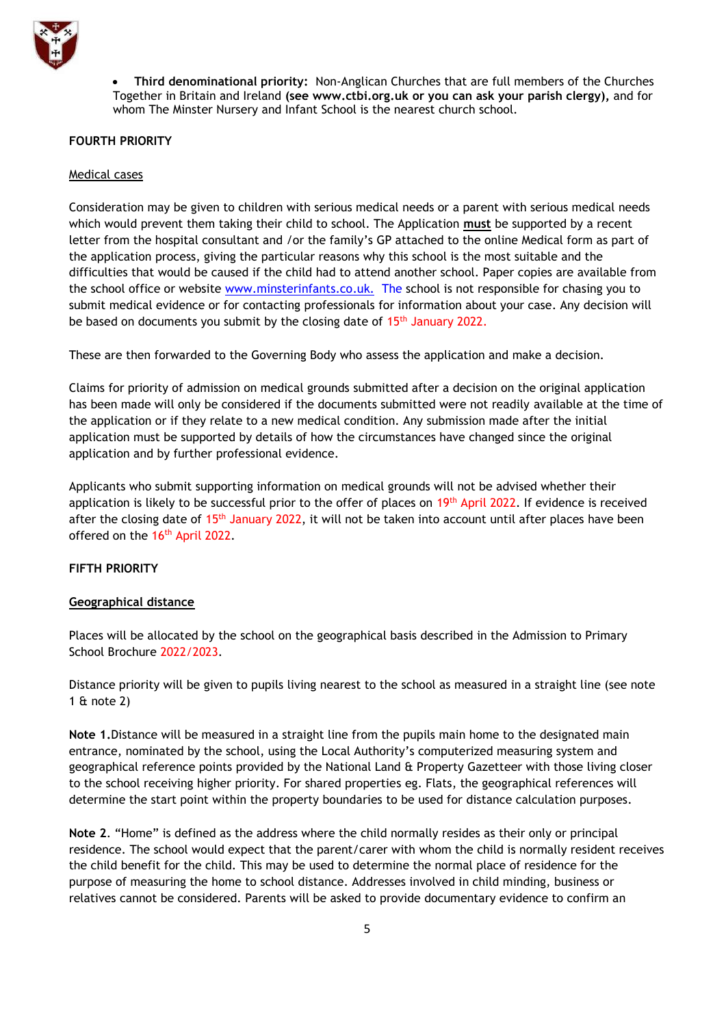

 **Third denominational priority:** Non-Anglican Churches that are full members of the Churches Together in Britain and Ireland **(see [www.ctbi.org.uk](http://www.ctbi.org.uk/) or you can ask your parish clergy),** and for whom The Minster Nursery and Infant School is the nearest church school.

#### **FOURTH PRIORITY**

#### Medical cases

Consideration may be given to children with serious medical needs or a parent with serious medical needs which would prevent them taking their child to school. The Application **must** be supported by a recent letter from the hospital consultant and /or the family's GP attached to the online Medical form as part of the application process, giving the particular reasons why this school is the most suitable and the difficulties that would be caused if the child had to attend another school. Paper copies are available from the school office or website www.minsterinfants.co.uk. The school is not responsible for chasing you to submit medical evidence or for contacting professionals for information about your case. Any decision will be based on documents you submit by the closing date of 15<sup>th</sup> January 2022.

These are then forwarded to the Governing Body who assess the application and make a decision.

Claims for priority of admission on medical grounds submitted after a decision on the original application has been made will only be considered if the documents submitted were not readily available at the time of the application or if they relate to a new medical condition. Any submission made after the initial application must be supported by details of how the circumstances have changed since the original application and by further professional evidence.

Applicants who submit supporting information on medical grounds will not be advised whether their application is likely to be successful prior to the offer of places on 19<sup>th</sup> April 2022. If evidence is received after the closing date of 15<sup>th</sup> January 2022, it will not be taken into account until after places have been offered on the 16<sup>th</sup> April 2022.

## **FIFTH PRIORITY**

#### **Geographical distance**

Places will be allocated by the school on the geographical basis described in the Admission to Primary School Brochure 2022/2023.

Distance priority will be given to pupils living nearest to the school as measured in a straight line (see note 1 & note 2)

**Note 1.**Distance will be measured in a straight line from the pupils main home to the designated main entrance, nominated by the school, using the Local Authority's computerized measuring system and geographical reference points provided by the National Land & Property Gazetteer with those living closer to the school receiving higher priority. For shared properties eg. Flats, the geographical references will determine the start point within the property boundaries to be used for distance calculation purposes.

**Note 2**. "Home" is defined as the address where the child normally resides as their only or principal residence. The school would expect that the parent/carer with whom the child is normally resident receives the child benefit for the child. This may be used to determine the normal place of residence for the purpose of measuring the home to school distance. Addresses involved in child minding, business or relatives cannot be considered. Parents will be asked to provide documentary evidence to confirm an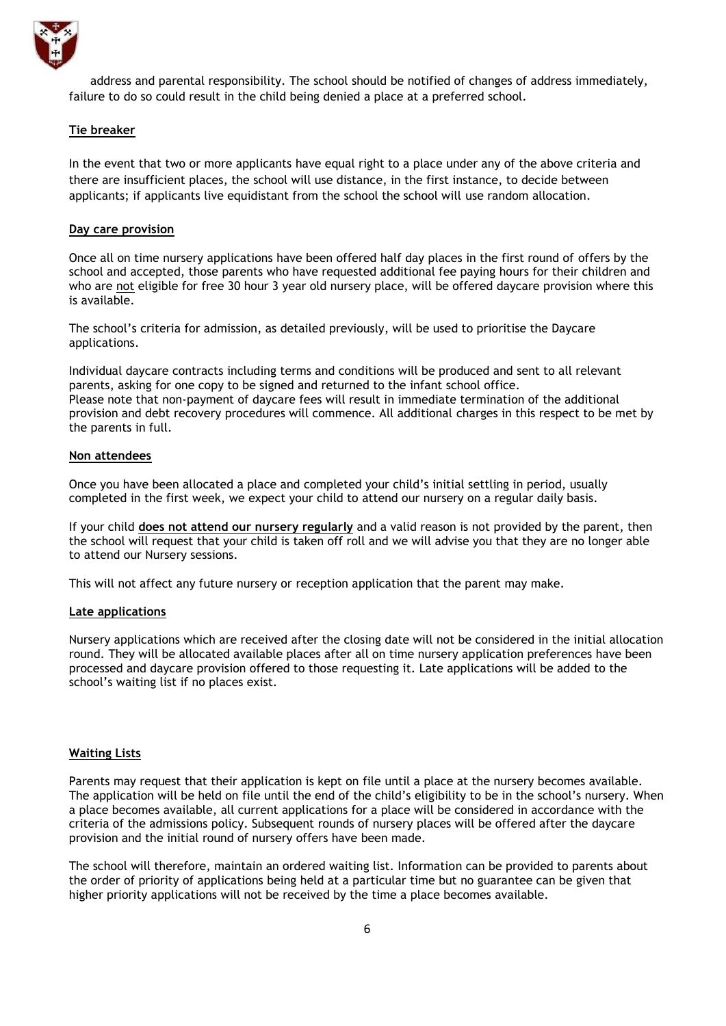

address and parental responsibility. The school should be notified of changes of address immediately, failure to do so could result in the child being denied a place at a preferred school.

#### **Tie breaker**

In the event that two or more applicants have equal right to a place under any of the above criteria and there are insufficient places, the school will use distance, in the first instance, to decide between applicants; if applicants live equidistant from the school the school will use random allocation.

#### **Day care provision**

Once all on time nursery applications have been offered half day places in the first round of offers by the school and accepted, those parents who have requested additional fee paying hours for their children and who are not eligible for free 30 hour 3 year old nursery place, will be offered daycare provision where this is available.

The school's criteria for admission, as detailed previously, will be used to prioritise the Daycare applications.

Individual daycare contracts including terms and conditions will be produced and sent to all relevant parents, asking for one copy to be signed and returned to the infant school office. Please note that non-payment of daycare fees will result in immediate termination of the additional provision and debt recovery procedures will commence. All additional charges in this respect to be met by the parents in full.

#### **Non attendees**

Once you have been allocated a place and completed your child's initial settling in period, usually completed in the first week, we expect your child to attend our nursery on a regular daily basis.

If your child **does not attend our nursery regularly** and a valid reason is not provided by the parent, then the school will request that your child is taken off roll and we will advise you that they are no longer able to attend our Nursery sessions.

This will not affect any future nursery or reception application that the parent may make.

#### **Late applications**

Nursery applications which are received after the closing date will not be considered in the initial allocation round. They will be allocated available places after all on time nursery application preferences have been processed and daycare provision offered to those requesting it. Late applications will be added to the school's waiting list if no places exist.

#### **Waiting Lists**

Parents may request that their application is kept on file until a place at the nursery becomes available. The application will be held on file until the end of the child's eligibility to be in the school's nursery. When a place becomes available, all current applications for a place will be considered in accordance with the criteria of the admissions policy. Subsequent rounds of nursery places will be offered after the daycare provision and the initial round of nursery offers have been made.

The school will therefore, maintain an ordered waiting list. Information can be provided to parents about the order of priority of applications being held at a particular time but no guarantee can be given that higher priority applications will not be received by the time a place becomes available.